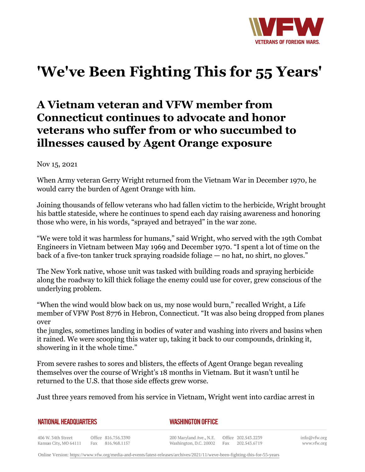

## **'We've Been Fighting This for 55 Years'**

## **A Vietnam veteran and VFW member from Connecticut continues to advocate and honor veterans who suffer from or who succumbed to illnesses caused by Agent Orange exposure**

Nov 15, 2021

When Army veteran Gerry Wright returned from the Vietnam War in December 1970, he would carry the burden of Agent Orange with him.

Joining thousands of fellow veterans who had fallen victim to the herbicide, Wright brought his battle stateside, where he continues to spend each day raising awareness and honoring those who were, in his words, "sprayed and betrayed" in the war zone.

"We were told it was harmless for humans," said Wright, who served with the 19th Combat Engineers in Vietnam between May 1969 and December 1970. "I spent a lot of time on the back of a five-ton tanker truck spraying roadside foliage — no hat, no shirt, no gloves."

The New York native, whose unit was tasked with building roads and spraying herbicide along the roadway to kill thick foliage the enemy could use for cover, grew conscious of the underlying problem.

"When the wind would blow back on us, my nose would burn," recalled Wright, a Life member of VFW Post 8776 in Hebron, Connecticut. "It was also being dropped from planes over

the jungles, sometimes landing in bodies of water and washing into rivers and basins when it rained. We were scooping this water up, taking it back to our compounds, drinking it, showering in it the whole time."

From severe rashes to sores and blisters, the effects of Agent Orange began revealing themselves over the course of Wright's 18 months in Vietnam. But it wasn't until he returned to the U.S. that those side effects grew worse.

Just three years removed from his service in Vietnam, Wright went into cardiac arrest in

| <b>NATIONAL HEADQUARTERS</b> |  |
|------------------------------|--|
|                              |  |

*WASHINGTON OFFICE* 

406 W. 34th Street Office 816.756.3390 Fax 816.968.1157 Kansas City, MO 64111

200 Maryland Ave., N.E. Washington, D.C. 20002

Office 202.543.2239 Fax 202.543.6719 info@vfw.org www.vfw.org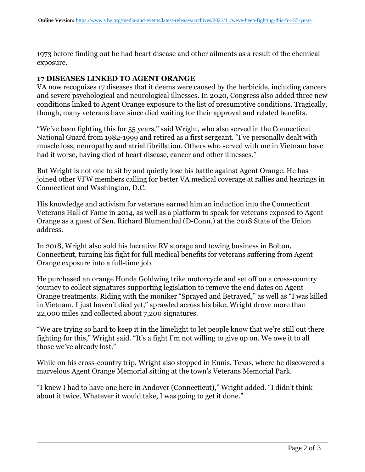1973 before finding out he had heart disease and other ailments as a result of the chemical exposure.

## **17 DISEASES LINKED TO AGENT ORANGE**

VA now recognizes 17 diseases that it deems were caused by the herbicide, including cancers and severe psychological and neurological illnesses. In 2020, Congress also added three new conditions linked to Agent Orange exposure to the list of presumptive conditions. Tragically, though, many veterans have since died waiting for their approval and related benefits.

"We've been fighting this for 55 years," said Wright, who also served in the Connecticut National Guard from 1982-1999 and retired as a first sergeant. "I've personally dealt with muscle loss, neuropathy and atrial fibrillation. Others who served with me in Vietnam have had it worse, having died of heart disease, cancer and other illnesses."

But Wright is not one to sit by and quietly lose his battle against Agent Orange. He has joined other VFW members calling for better VA medical coverage at rallies and hearings in Connecticut and Washington, D.C.

His knowledge and activism for veterans earned him an induction into the Connecticut Veterans Hall of Fame in 2014, as well as a platform to speak for veterans exposed to Agent Orange as a guest of Sen. Richard Blumenthal (D-Conn.) at the 2018 State of the Union address.

In 2018, Wright also sold his lucrative RV storage and towing business in Bolton, Connecticut, turning his fight for full medical benefits for veterans suffering from Agent Orange exposure into a full-time job.

He purchased an orange Honda Goldwing trike motorcycle and set off on a cross-country journey to collect signatures supporting legislation to remove the end dates on Agent Orange treatments. Riding with the moniker "Sprayed and Betrayed," as well as "I was killed in Vietnam. I just haven't died yet," sprawled across his bike, Wright drove more than 22,000 miles and collected about 7,200 signatures.

"We are trying so hard to keep it in the limelight to let people know that we're still out there fighting for this," Wright said. "It's a fight I'm not willing to give up on. We owe it to all those we've already lost."

While on his cross-country trip, Wright also stopped in Ennis, Texas, where he discovered a marvelous Agent Orange Memorial sitting at the town's Veterans Memorial Park.

"I knew I had to have one here in Andover (Connecticut)," Wright added. "I didn't think about it twice. Whatever it would take, I was going to get it done."